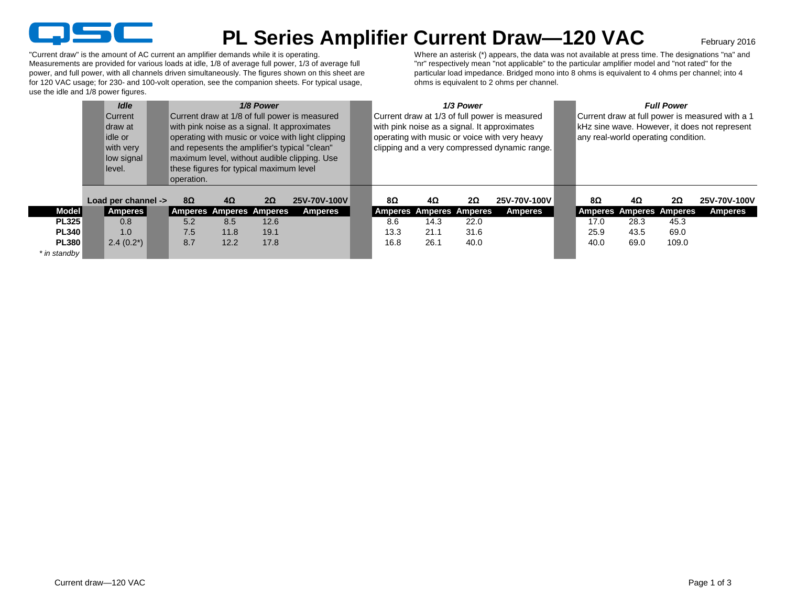

## **PL Series Amplifier Current Draw—120 VAC**

February 2016

"Current draw" is the amount of AC current an amplifier demands while it is operating. Measurements are provided for various loads at idle, 1/8 of average full power, 1/3 of average full power, and full power, with all channels driven simultaneously. The figures shown on this sheet are for 120 VAC usage; for 230- and 100-volt operation, see the companion sheets. For typical usage, use the idle and 1/8 power figures.

Where an asterisk (\*) appears, the data was not available at press time. The designations "na" and "nr" respectively mean "not applicable" to the particular amplifier model and "not rated" for the particular load impedance. Bridged mono into 8 ohms is equivalent to 4 ohms per channel; into 4 ohms is equivalent to 2 ohms per channel.

|                | <b>Idle</b><br>1/8 Power<br>Current draw at 1/8 of full power is measured<br><b>Current</b><br>with pink noise as a signal. It approximates<br>Idraw at<br>operating with music or voice with light clipping<br>idle or<br>and repesents the amplifier's typical "clean"<br>with very<br>maximum level, without audible clipping. Use<br>low signal<br>these figures for typical maximum level<br>llevel.<br>operation. |  |           |           |                                |              |      |                                | 1/3 Power | Current draw at 1/3 of full power is measured<br>with pink noise as a signal. It approximates<br>operating with music or voice with very heavy<br>clipping and a very compressed dynamic range. | <b>Full Power</b><br>Current draw at full power is measured with a 1<br>kHz sine wave. However, it does not represent<br>any real-world operating condition. |      |                                |           |              |  |
|----------------|-------------------------------------------------------------------------------------------------------------------------------------------------------------------------------------------------------------------------------------------------------------------------------------------------------------------------------------------------------------------------------------------------------------------------|--|-----------|-----------|--------------------------------|--------------|------|--------------------------------|-----------|-------------------------------------------------------------------------------------------------------------------------------------------------------------------------------------------------|--------------------------------------------------------------------------------------------------------------------------------------------------------------|------|--------------------------------|-----------|--------------|--|
|                | Load per channel ->                                                                                                                                                                                                                                                                                                                                                                                                     |  | $8\Omega$ | $4\Omega$ | $2\Omega$                      | 25V-70V-100V | 8Ω   | $4\Omega$                      | $2\Omega$ | 25V-70V-100V                                                                                                                                                                                    |                                                                                                                                                              | 8Ω   | $4\Omega$                      | $2\Omega$ | 25V-70V-100V |  |
| <b>Model</b>   | Amperes                                                                                                                                                                                                                                                                                                                                                                                                                 |  |           |           | <b>Amperes Amperes Amperes</b> | Amperes      |      | <b>Amperes Amperes Amperes</b> |           | <b>Amperes</b>                                                                                                                                                                                  |                                                                                                                                                              |      | <b>Amperes Amperes Amperes</b> |           | Amperes      |  |
| <b>PL325</b>   | 0.8                                                                                                                                                                                                                                                                                                                                                                                                                     |  | 5.2       | 8.5       | 12.6                           |              | 8.6  | 14.3                           | 22.0      |                                                                                                                                                                                                 |                                                                                                                                                              | 17.0 | 28.3                           | 45.3      |              |  |
| <b>PL340</b>   | 1.0                                                                                                                                                                                                                                                                                                                                                                                                                     |  | 7.5       | 11.8      | 19.1                           |              | 13.3 | 21.1                           | 31.6      |                                                                                                                                                                                                 |                                                                                                                                                              | 25.9 | 43.5                           | 69.0      |              |  |
| <b>PL380</b>   | $2.4(0.2^*)$                                                                                                                                                                                                                                                                                                                                                                                                            |  | 8.7       | 12.2      | 17.8                           |              | 16.8 | 26.1                           | 40.0      |                                                                                                                                                                                                 |                                                                                                                                                              | 40.0 | 69.0                           | 109.0     |              |  |
| * in standby I |                                                                                                                                                                                                                                                                                                                                                                                                                         |  |           |           |                                |              |      |                                |           |                                                                                                                                                                                                 |                                                                                                                                                              |      |                                |           |              |  |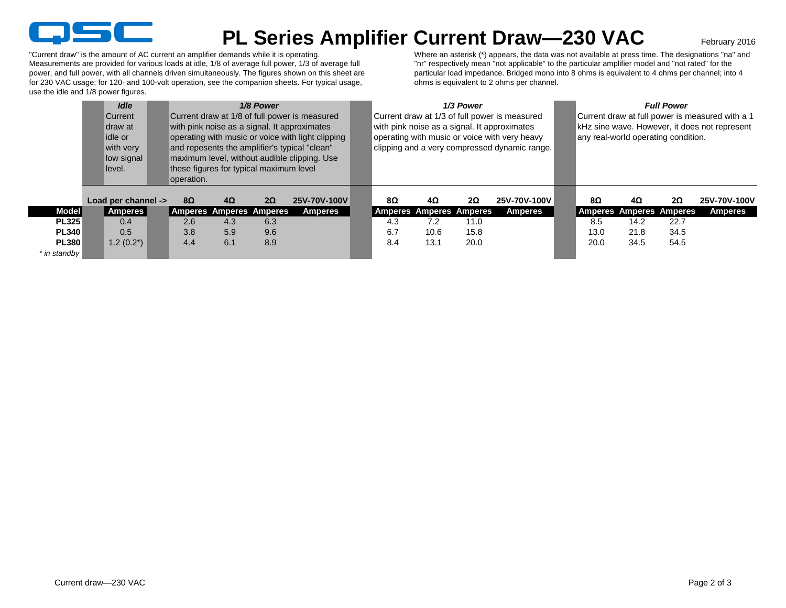

## **PL Series Amplifier Current Draw—230 VAC**

February 2016

"Current draw" is the amount of AC current an amplifier demands while it is operating. Measurements are provided for various loads at idle, 1/8 of average full power, 1/3 of average full power, and full power, with all channels driven simultaneously. The figures shown on this sheet are for 230 VAC usage; for 120- and 100-volt operation, see the companion sheets. For typical usage, use the idle and 1/8 power figures.

Where an asterisk (\*) appears, the data was not available at press time. The designations "na" and "nr" respectively mean "not applicable" to the particular amplifier model and "not rated" for the particular load impedance. Bridged mono into 8 ohms is equivalent to 4 ohms per channel; into 4 ohms is equivalent to 2 ohms per channel.

|                | <b>Idle</b><br><b>Current</b><br>Idraw at<br>idle or<br>with very<br>low signal<br>llevel. | 1/8 Power<br>Current draw at 1/8 of full power is measured<br>with pink noise as a signal. It approximates<br>operating with music or voice with light clipping<br>and repesents the amplifier's typical "clean"<br>maximum level, without audible clipping. Use<br>these figures for typical maximum level<br>operation. |           |           |                                |                |  |     |                         | 1/3 Power | Current draw at 1/3 of full power is measured<br>with pink noise as a signal. It approximates<br>operating with music or voice with very heavy<br>clipping and a very compressed dynamic range. | <b>Full Power</b><br>Current draw at full power is measured with a 1<br>kHz sine wave. However, it does not represent<br>any real-world operating condition. |                                |           |                |  |  |
|----------------|--------------------------------------------------------------------------------------------|---------------------------------------------------------------------------------------------------------------------------------------------------------------------------------------------------------------------------------------------------------------------------------------------------------------------------|-----------|-----------|--------------------------------|----------------|--|-----|-------------------------|-----------|-------------------------------------------------------------------------------------------------------------------------------------------------------------------------------------------------|--------------------------------------------------------------------------------------------------------------------------------------------------------------|--------------------------------|-----------|----------------|--|--|
|                | Load per channel ->                                                                        |                                                                                                                                                                                                                                                                                                                           | $8\Omega$ | $4\Omega$ | $2\Omega$                      | 25V-70V-100V   |  | 8Ω  | 4Ω                      | $2\Omega$ | 25V-70V-100V                                                                                                                                                                                    | 8Ω                                                                                                                                                           | 4Ω                             | $2\Omega$ | 25V-70V-100V   |  |  |
| <b>Model</b>   | Amperes                                                                                    |                                                                                                                                                                                                                                                                                                                           |           |           | <b>Amperes Amperes Amperes</b> | <b>Amperes</b> |  |     | Amperes Amperes Amperes |           | <b>Amperes</b>                                                                                                                                                                                  |                                                                                                                                                              | <b>Amperes Amperes Amperes</b> |           | <b>Amperes</b> |  |  |
| <b>PL325</b>   | 0.4                                                                                        |                                                                                                                                                                                                                                                                                                                           | 2.6       | 4.3       | 6.3                            |                |  | 4.3 | 7.2                     | 11.0      |                                                                                                                                                                                                 | 8.5                                                                                                                                                          | 14.2                           | 22.7      |                |  |  |
| <b>PL340</b>   | 0.5                                                                                        |                                                                                                                                                                                                                                                                                                                           | 3.8       | 5.9       | 9.6                            |                |  | 6.7 | 10.6                    | 15.8      |                                                                                                                                                                                                 | 13.0                                                                                                                                                         | 21.8                           | 34.5      |                |  |  |
| <b>PL380</b>   | $1.2(0.2^*)$                                                                               |                                                                                                                                                                                                                                                                                                                           | 4.4       | 6.1       | 8.9                            |                |  | 8.4 | 13.1                    | 20.0      |                                                                                                                                                                                                 | 20.0                                                                                                                                                         | 34.5                           | 54.5      |                |  |  |
| * in standby I |                                                                                            |                                                                                                                                                                                                                                                                                                                           |           |           |                                |                |  |     |                         |           |                                                                                                                                                                                                 |                                                                                                                                                              |                                |           |                |  |  |